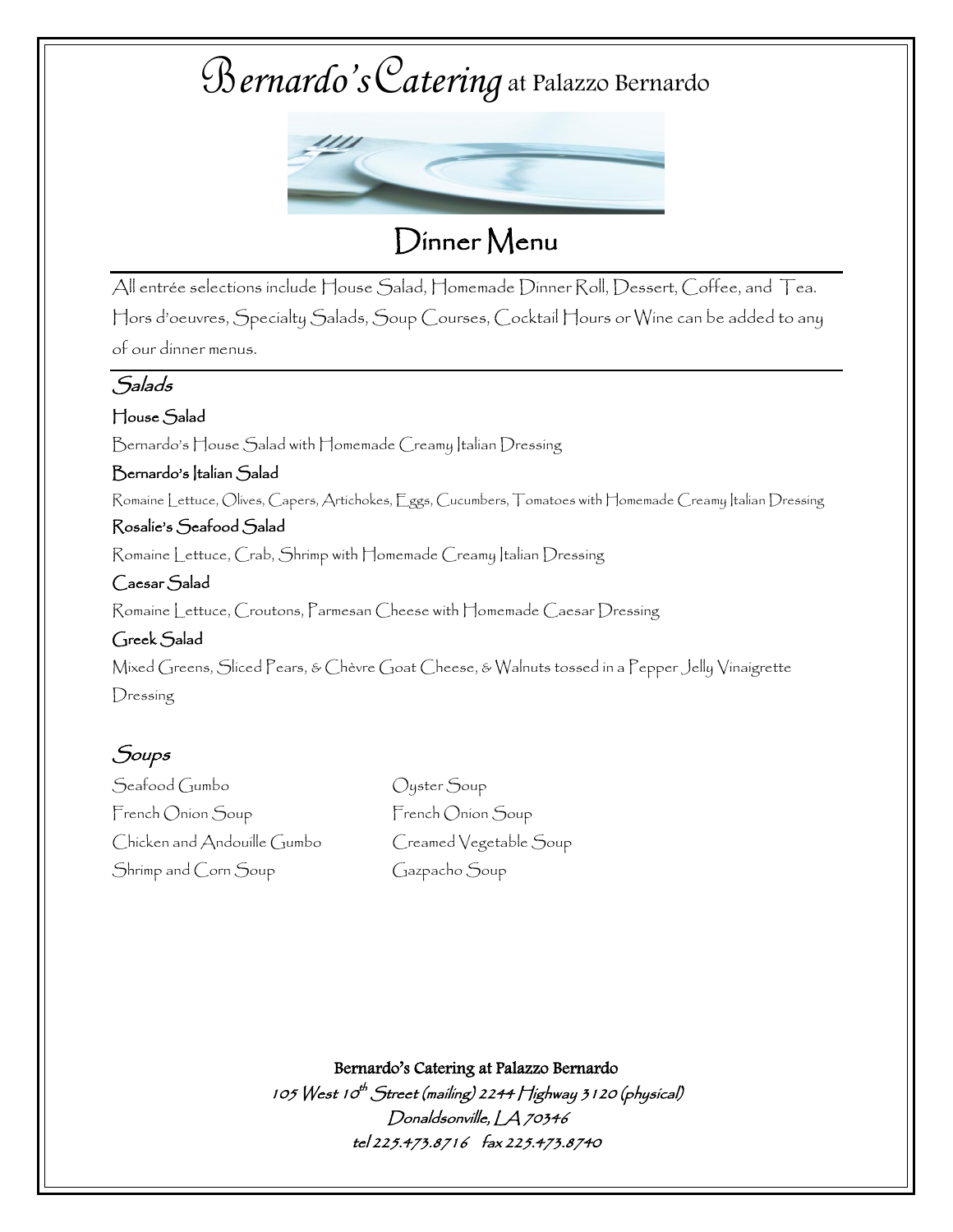

Dinner Menu

All entrée selections include House Salad, Homemade Dinner Roll, Dessert, Coffee, and Tea. Hors d'oeuvres, Specialty Salads, Soup Courses, Cocktail Hours or Wine can be added to any of our dinner menus.

### Salads

#### House Salad

Bernardo's House Salad with Homemade Creamy Italian Dressing

Bernardo's Italian Salad Romaine Lettuce, Olives, Capers, Artichokes, Eggs, Cucumbers, Tomatoes with Homemade Creamy Italian Dressing

#### Rosalie's Seafood Salad

Romaine Lettuce, Crab, Shrimp with Homemade Creamy Italian Dressing

#### Caesar Salad

Romaine Lettuce, Croutons, Parmesan Cheese with Homemade Caesar Dressing

#### Greek Salad

Mixed Greens, Sliced Pears, & Chèvre Goat Cheese, & Walnuts tossed in a Pepper Jelly Vinaigrette Dressing

## Soups

Seafood Gumbo Oyster Soup French Onion Soup French Onion Soup Chicken and Andouille Gumbo Creamed Vegetable Soup Shrimp and Corn Soup Gazpacho Soup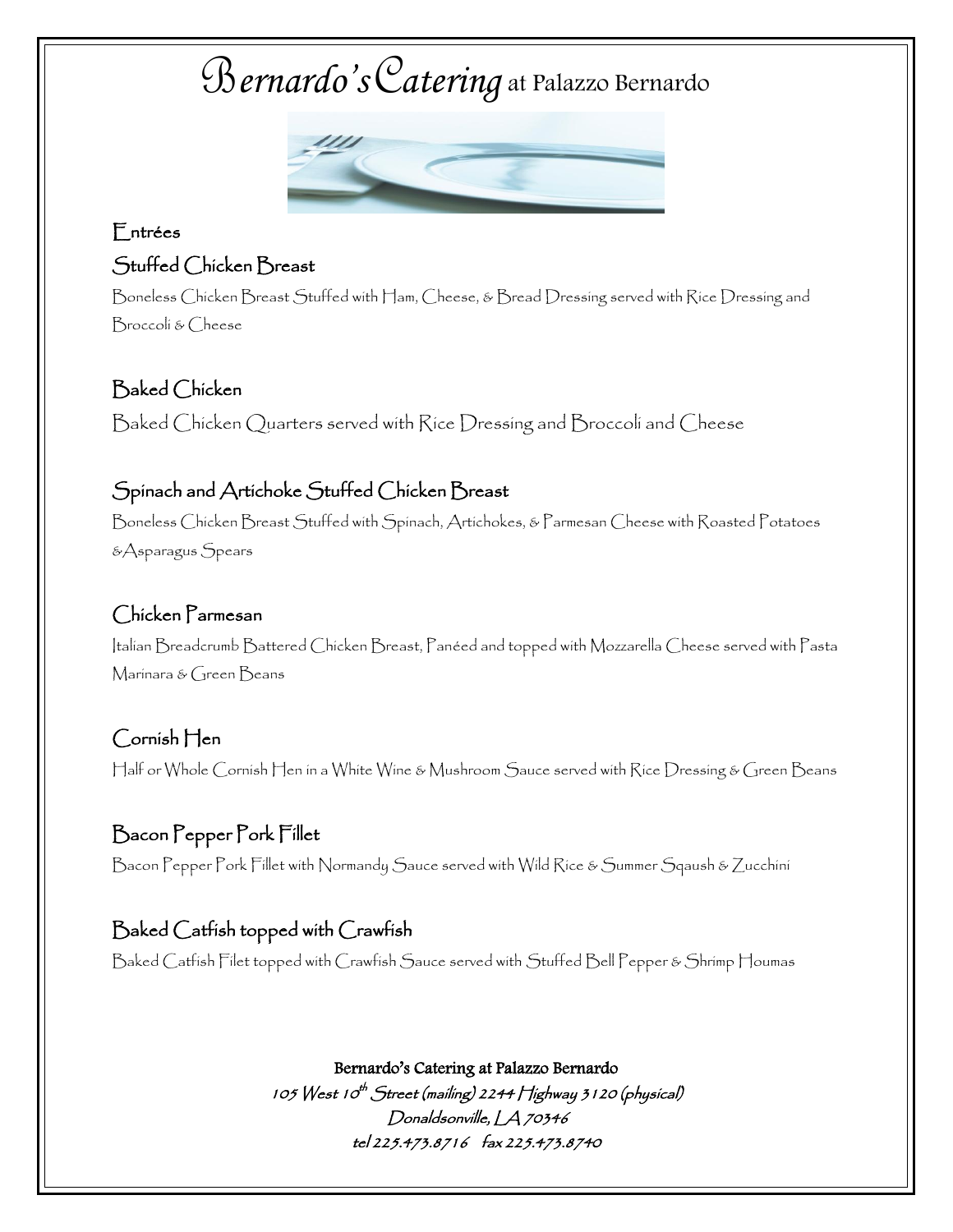

## Entrées Stuffed Chicken Breast

Boneless Chicken Breast Stuffed with Ham, Cheese, & Bread Dressing served with Rice Dressing and Broccoli & Cheese

## Baked Chicken

Baked Chicken Quarters served with Rice Dressing and Broccoli and Cheese

# Spinach and Artichoke Stuffed Chicken Breast

Boneless Chicken Breast Stuffed with Spinach, Artichokes, & Parmesan Cheese with Roasted Potatoes &Asparagus Spears

#### Chicken Parmesan

Italian Breadcrumb Battered Chicken Breast, Panéed and topped with Mozzarella Cheese served with Pasta Marinara & Green Beans

### Cornish Hen Half or Whole Cornish Hen in a White Wine & Mushroom Sauce served with Rice Dressing & Green Beans

## Bacon Pepper Pork Fillet Bacon Pepper Pork Fillet with Normandy Sauce served with Wild Rice & Summer Sqaush & Zucchini

# Baked Catfish topped with Crawfish

Baked Catfish Filet topped with Crawfish Sauce served with Stuffed Bell Pepper & Shrimp Houmas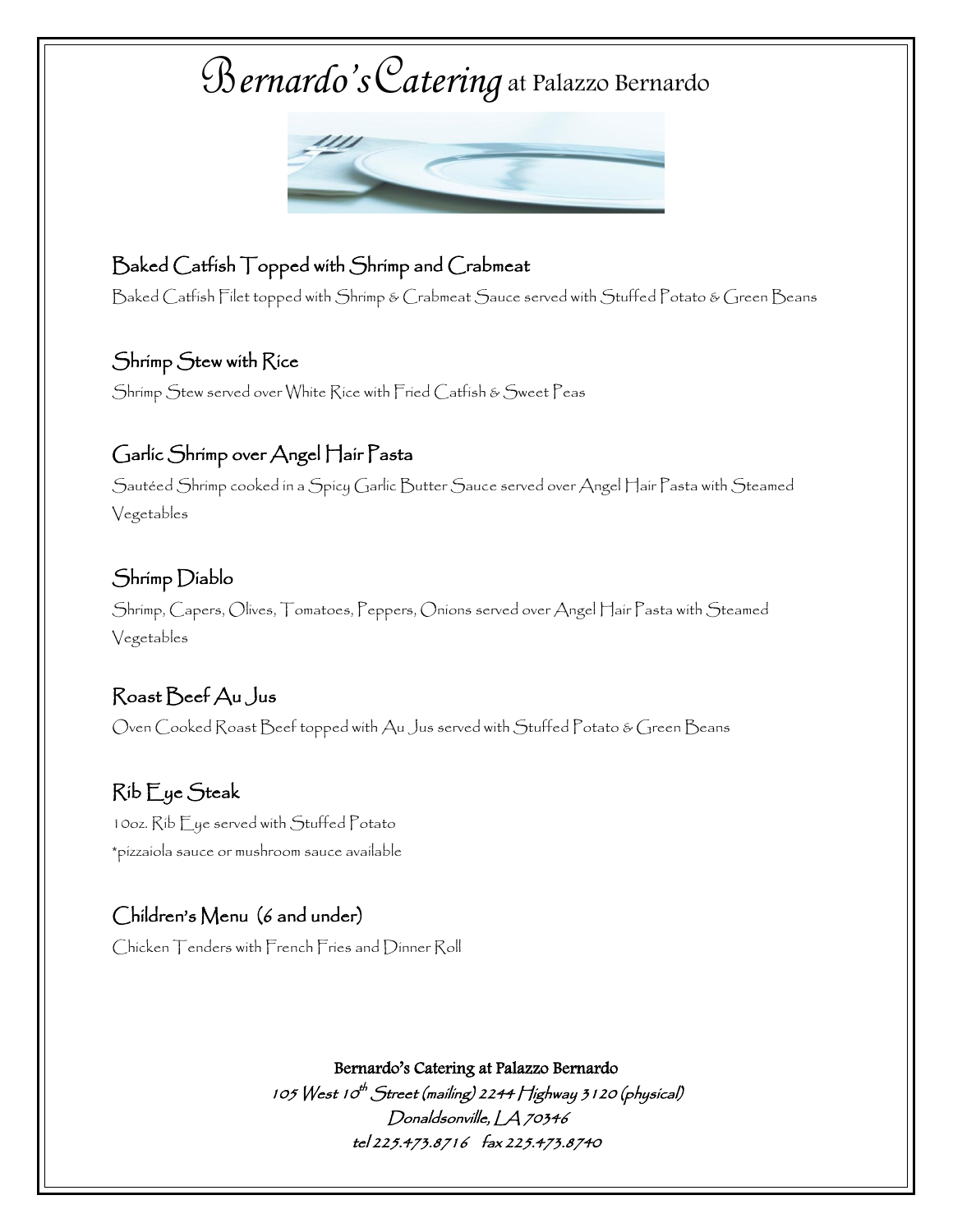

## Baked Catfish Topped with Shrimp and Crabmeat

Baked Catfish Filet topped with Shrimp & Crabmeat Sauce served with Stuffed Potato & Green Beans

#### Shrimp Stew with Rice

Shrimp Stew served over White Rice with Fried Catfish & Sweet Peas

### Garlic Shrimp over Angel Hair Pasta

Sautéed Shrimp cooked in a Spicy Garlic Butter Sauce served over Angel Hair Pasta with Steamed Vegetables

### Shrimp Diablo

Shrimp, Capers, Olives, Tomatoes, Peppers, Onions served over Angel Hair Pasta with Steamed Vegetables

#### Roast Beef Au Jus

Oven Cooked Roast Beef topped with Au Jus served with Stuffed Potato & Green Beans

## Rib Eye Steak

10oz. Rib Eye served with Stuffed Potato \*pizzaiola sauce or mushroom sauce available

#### Children's Menu (6 and under)

Chicken Tenders with French Fries and Dinner Roll